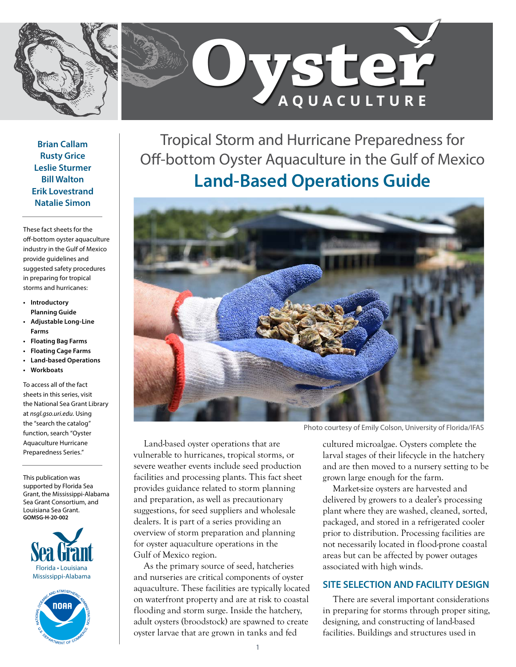



**Brian Callam Rusty Grice Leslie Sturmer Bill Walton Erik Lovestrand Natalie Simon** 

These fact sheets for the off-bottom oyster aquaculture industry in the Gulf of Mexico provide guidelines and suggested safety procedures in preparing for tropical storms and hurricanes:

- **• Introductory Planning Guide**
- **• Adjustable Long-Line Farms**
- **• Floating Bag Farms**
- **• Floating Cage Farms**
- **• Land-based Operations**
- **• Workboats**

To access all of the fact sheets in this series, visit the National Sea Grant Library at *[nsgl.gso.uri.edu](https://urldefense.proofpoint.com/v2/url?u=https-3A__nsgl.gso.uri.edu&d=DwMFaQ&c=sJ6xIWYx-zLMB3EPkvcnVg&r=VfJAwpDiLBekOq-fvqWcAWdR0GZGzYlTtcD0YUNnnzA&m=vxfA58KUOjReuBcZydJvffs0gv27yU25hTW2ZLiHpr0&s=lip0VEsWeR6UEI9gPso9XMN9cEnrK_WjyHeqMbbsYlw&e=)*. Using the "search the catalog" function, search "Oyster Aquaculture Hurricane Preparedness Series."

This publication was supported by Florida Sea Grant, the Mississippi-Alabama Sea Grant Consortium, and Louisiana Sea Grant. **GOMSG-H-20-002**





Tropical Storm and Hurricane Preparedness for Off-bottom Oyster Aquaculture in the Gulf of Mexico **Land-Based Operations Guide**



Photo courtesy of Emily Colson, University of Florida/IFAS

Land-based oyster operations that are vulnerable to hurricanes, tropical storms, or severe weather events include seed production facilities and processing plants. This fact sheet provides guidance related to storm planning and preparation, as well as precautionary suggestions, for seed suppliers and wholesale dealers. It is part of a series providing an overview of storm preparation and planning for oyster aquaculture operations in the Gulf of Mexico region.

As the primary source of seed, hatcheries and nurseries are critical components of oyster aquaculture. These facilities are typically located on waterfront property and are at risk to coastal flooding and storm surge. Inside the hatchery, adult oysters (broodstock) are spawned to create oyster larvae that are grown in tanks and fed

cultured microalgae. Oysters complete the larval stages of their lifecycle in the hatchery and are then moved to a nursery setting to be grown large enough for the farm.

Market-size oysters are harvested and delivered by growers to a dealer's processing plant where they are washed, cleaned, sorted, packaged, and stored in a refrigerated cooler prior to distribution. Processing facilities are not necessarily located in flood-prone coastal areas but can be affected by power outages associated with high winds.

## **SITE SELECTION AND FACILITY DESIGN**

There are several important considerations in preparing for storms through proper siting, designing, and constructing of land-based facilities. Buildings and structures used in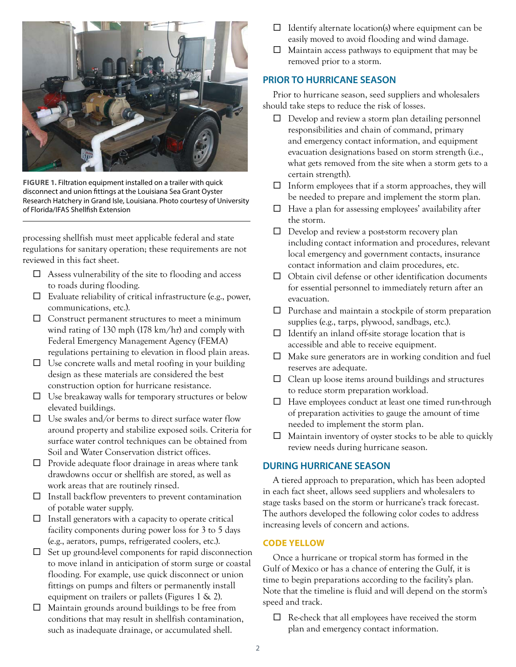

**FIGURE 1.** Filtration equipment installed on a trailer with quick disconnect and union fittings at the Louisiana Sea Grant Oyster Research Hatchery in Grand Isle, Louisiana. Photo courtesy of University of Florida/IFAS Shellfish Extension

processing shellfish must meet applicable federal and state regulations for sanitary operation; these requirements are not reviewed in this fact sheet.

- $\Box$  Assess vulnerability of the site to flooding and access to roads during flooding.
- $\Box$  Evaluate reliability of critical infrastructure (e.g., power, communications, etc.).
- $\Box$  Construct permanent structures to meet a minimum wind rating of 130 mph (178 km/hr) and comply with Federal Emergency Management Agency (FEMA) regulations pertaining to elevation in flood plain areas.
- $\Box$  Use concrete walls and metal roofing in your building design as these materials are considered the best construction option for hurricane resistance.
- $\Box$  Use breakaway walls for temporary structures or below elevated buildings.
- $\square$  Use swales and/or berms to direct surface water flow around property and stabilize exposed soils. Criteria for surface water control techniques can be obtained from Soil and Water Conservation district offices.
- $\Box$  Provide adequate floor drainage in areas where tank drawdowns occur or shellfish are stored, as well as work areas that are routinely rinsed.
- $\square$  Install backflow preventers to prevent contamination of potable water supply.
- $\square$  Install generators with a capacity to operate critical facility components during power loss for 3 to 5 days (e.g., aerators, pumps, refrigerated coolers, etc.).
- $\Box$  Set up ground-level components for rapid disconnection to move inland in anticipation of storm surge or coastal flooding. For example, use quick disconnect or union fittings on pumps and filters or permanently install equipment on trailers or pallets (Figures 1 & 2).
- $\Box$  Maintain grounds around buildings to be free from conditions that may result in shellfish contamination, such as inadequate drainage, or accumulated shell.
- $\Box$  Identify alternate location(s) where equipment can be easily moved to avoid flooding and wind damage.
- $\Box$  Maintain access pathways to equipment that may be removed prior to a storm.

## **PRIOR TO HURRICANE SEASON**

Prior to hurricane season, seed suppliers and wholesalers should take steps to reduce the risk of losses.

- $\Box$  Develop and review a storm plan detailing personnel responsibilities and chain of command, primary and emergency contact information, and equipment evacuation designations based on storm strength (i.e., what gets removed from the site when a storm gets to a certain strength).
- $\square$  Inform employees that if a storm approaches, they will be needed to prepare and implement the storm plan.
- $\Box$  Have a plan for assessing employees' availability after the storm.
- $\Box$  Develop and review a post-storm recovery plan including contact information and procedures, relevant local emergency and government contacts, insurance contact information and claim procedures, etc.
- $\Box$  Obtain civil defense or other identification documents for essential personnel to immediately return after an evacuation.
- $\Box$  Purchase and maintain a stockpile of storm preparation supplies (e.g., tarps, plywood, sandbags, etc.).
- $\Box$  Identify an inland off-site storage location that is accessible and able to receive equipment.
- $\square$  Make sure generators are in working condition and fuel reserves are adequate.
- $\Box$  Clean up loose items around buildings and structures to reduce storm preparation workload.
- $\Box$  Have employees conduct at least one timed run-through of preparation activities to gauge the amount of time needed to implement the storm plan.
- $\Box$  Maintain inventory of oyster stocks to be able to quickly review needs during hurricane season.

## **DURING HURRICANE SEASON**

A tiered approach to preparation, which has been adopted in each fact sheet, allows seed suppliers and wholesalers to stage tasks based on the storm or hurricane's track forecast. The authors developed the following color codes to address increasing levels of concern and actions.

## **CODE YELLOW**

Once a hurricane or tropical storm has formed in the Gulf of Mexico or has a chance of entering the Gulf, it is time to begin preparations according to the facility's plan. Note that the timeline is fluid and will depend on the storm's speed and track.

 $\Box$  Re-check that all employees have received the storm plan and emergency contact information.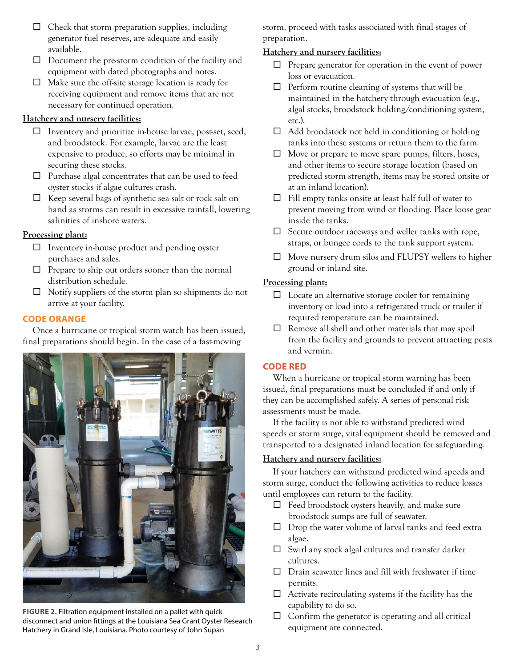- $\Box$  Check that storm preparation supplies, including generator fuel reserves, are adequate and easily available.
- $\Box$  Document the pre-storm condition of the facility and equipment with dated photographs and notes.
- $\Box$  Make sure the off-site storage location is ready for receiving equipment and remove items that are not necessary for continued operation.

## **Hatchery and nursery facilities:**

- $\Box$  Inventory and prioritize in-house larvae, post-set, seed, and broodstock. For example, larvae are the least expensive to produce, so efforts may be minimal in securing these stocks.
- $\Box$  Purchase algal concentrates that can be used to feed oyster stocks if algae cultures crash.
- $\Box$  Keep several bags of synthetic sea salt or rock salt on hand as storms can result in excessive rainfall, lowering salinities of inshore waters.

## **Processing plant:**

- $\Box$  Inventory in-house product and pending oyster purchases and sales.
- $\Box$  Prepare to ship out orders sooner than the normal distribution schedule.
- $\Box$  Notify suppliers of the storm plan so shipments do not arrive at your facility.

## **CODE ORANGE**

Once a hurricane or tropical storm watch has been issued, final preparations should begin. In the case of a fast-moving



**FIGURE 2.** Filtration equipment installed on a pallet with quick disconnect and union fittings at the Louisiana Sea Grant Oyster Research Hatchery in Grand Isle, Louisiana. Photo courtesy of John Supan

storm, proceed with tasks associated with final stages of preparation.

## **Hatchery and nursery facilities:**

- $\Box$  Prepare generator for operation in the event of power loss or evacuation.
- $\Box$  Perform routine cleaning of systems that will be maintained in the hatchery through evacuation (e.g., algal stocks, broodstock holding/conditioning system, etc.).
- $\Box$  Add broodstock not held in conditioning or holding tanks into these systems or return them to the farm.
- $\Box$  Move or prepare to move spare pumps, filters, hoses, and other items to secure storage location (based on predicted storm strength, items may be stored onsite or at an inland location).
- $\Box$  Fill empty tanks onsite at least half full of water to prevent moving from wind or flooding. Place loose gear inside the tanks.
- $\square$  Secure outdoor raceways and weller tanks with rope, straps, or bungee cords to the tank support system.
- $\Box$  Move nursery drum silos and FLUPSY wellers to higher ground or inland site.

## **Processing plant:**

- $\Box$  Locate an alternative storage cooler for remaining inventory or load into a refrigerated truck or trailer if required temperature can be maintained.
- $\Box$  Remove all shell and other materials that may spoil from the facility and grounds to prevent attracting pests and vermin.

## **CODE RED**

When a hurricane or tropical storm warning has been issued, final preparations must be concluded if and only if they can be accomplished safely. A series of personal risk assessments must be made.

If the facility is not able to withstand predicted wind speeds or storm surge, vital equipment should be removed and transported to a designated inland location for safeguarding.

## **Hatchery and nursery facilities:**

If your hatchery can withstand predicted wind speeds and storm surge, conduct the following activities to reduce losses until employees can return to the facility.

- $\Box$  Feed broodstock oysters heavily, and make sure broodstock sumps are full of seawater.
- $\Box$  Drop the water volume of larval tanks and feed extra algae.
- $\square$  Swirl any stock algal cultures and transfer darker cultures.
- $\square$  Drain seawater lines and fill with freshwater if time permits.
- $\Box$  Activate recirculating systems if the facility has the capability to do so.
- $\Box$  Confirm the generator is operating and all critical equipment are connected.